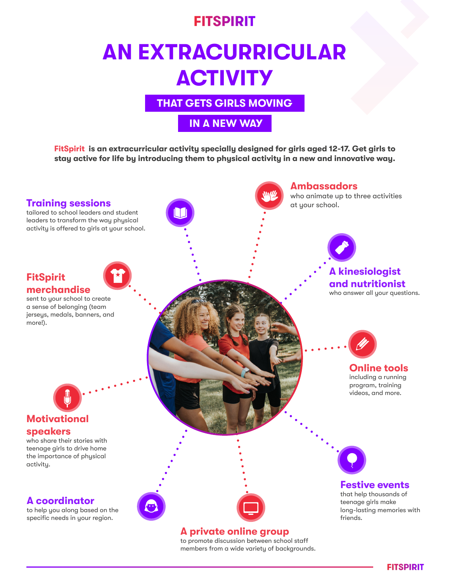#### **FITSPIRIT**

# **AN EXTRACURRICULAR ACTIVITY**

**THAT GETS GIRLS MOVING**

#### **IN A NEW WAY**

**FitSpirit is an extracurricular activity specially designed for girls aged 12-17. Get girls to stay active for life by introducing them to physical activity in a new and innovative way.**



to promote discussion between school staff members from a wide variety of backgrounds.

**FITSPIRIT**